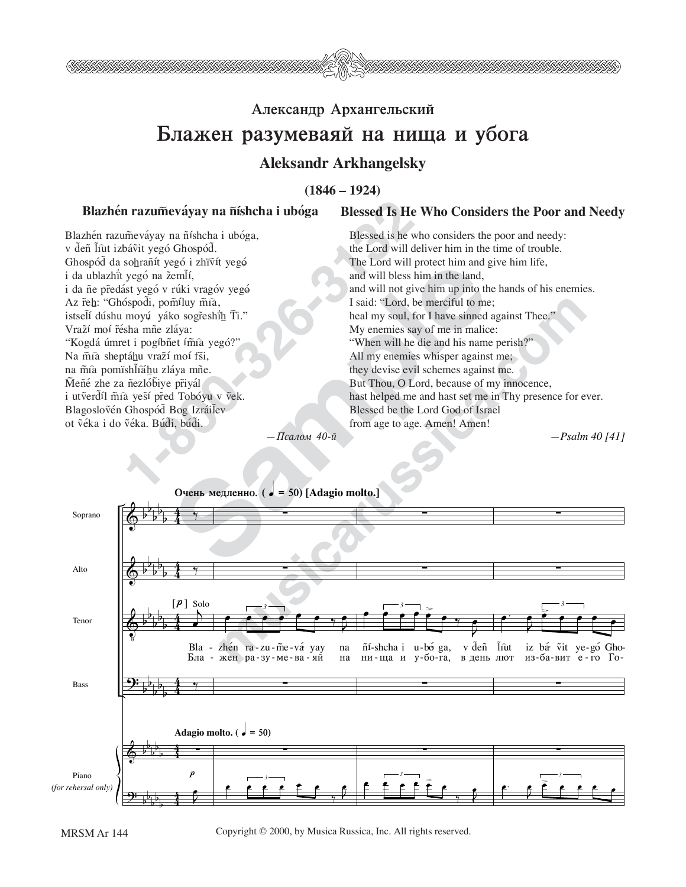

## Александр Архангельский Блажен разумеваяй на нища и убога

## **Aleksandr Arkhangelsky**

**(1846 – 1924)**

**1-800**<br>
Imérváyay na fiíshcha i ubóga<br>
bávit yegó Ghospód.<br>
bávit yegó i zhivít yegó<br>
sohranít yegó i zhivít yegó<br>
sohranít yegó i zhivít yegó<br>
sohranít yegó i zhivít yegó<br>
(I-B Lord will to give the Lord will to give the Blazhén razumeváyay na níshcha i ubóga, v deñ līūt izbávit yegó Ghospód. Ghospód da sohrañít yegó i zhïvít yegó i da ublazhit yegó na žemlí, i da ñe předást yegó v rúki vragóv yegó Az r̃eh: "Ghóspodi, pom̃íluy m̃ía, istsel̃í dúshu moyú yáko sogr̃eshï॑h T̃i." Vraží moí řésha mñe zláva: "Kogdá úmret i pogíbñet ímta vegó?" Na mīà sheptáhu vraží moí fši, na mīa pomishlīáhu zláva mñe. Meñé zhe za ñezlóbiye přiyál i utverdíl mía veší před Tobóvu v vek. Blagoslovén Ghospód Bog Izráilev ot véka i do véka. Búdi, búdi.

## **Elazhén razum̃eváyay na ñíshcha i ubóga → Blessed Is He Who Considers the Poor and Needy**

Blessed is he who considers the poor and needy: the Lord will deliver him in the time of trouble. The Lord will protect him and give him life, and will bless him in the land, and will not give him up into the hands of his enemies. I said: "Lord, be merciful to me; heal my soul, for I have sinned against Thee." My enemies say of me in malice: "When will he die and his name perish?" All my enemies whisper against me; they devise evil schemes against me. But Thou, O Lord, because of my innocence, hast helped me and hast set me in Thy presence for ever. Blessed be the Lord God of Israel from age to age. Amen! Amen!

*—Psalm 40 [41]*



*—Psalom 40-j*

Copyright © 2000, by Musica Russica, Inc. All rights reserved.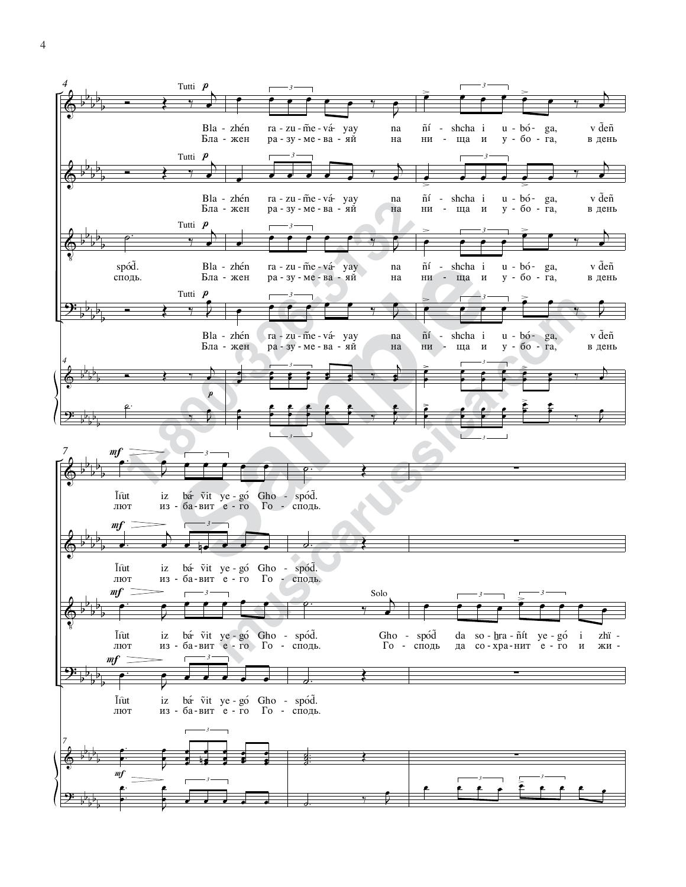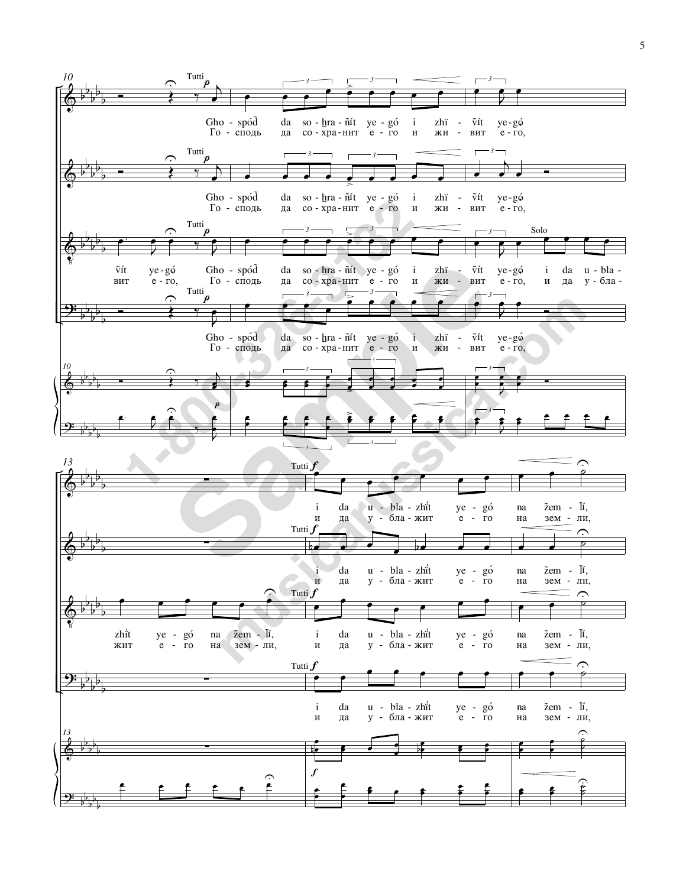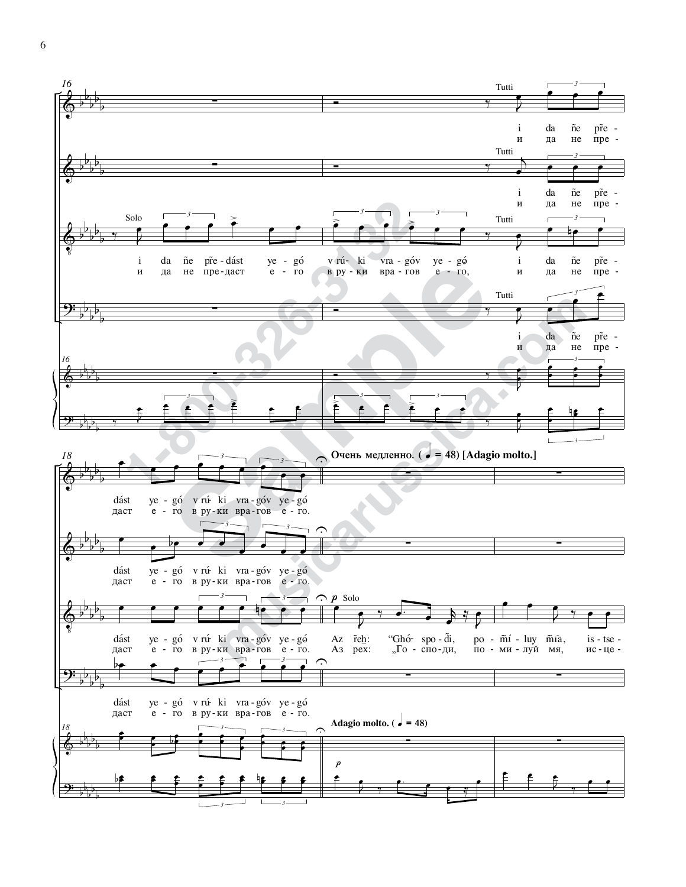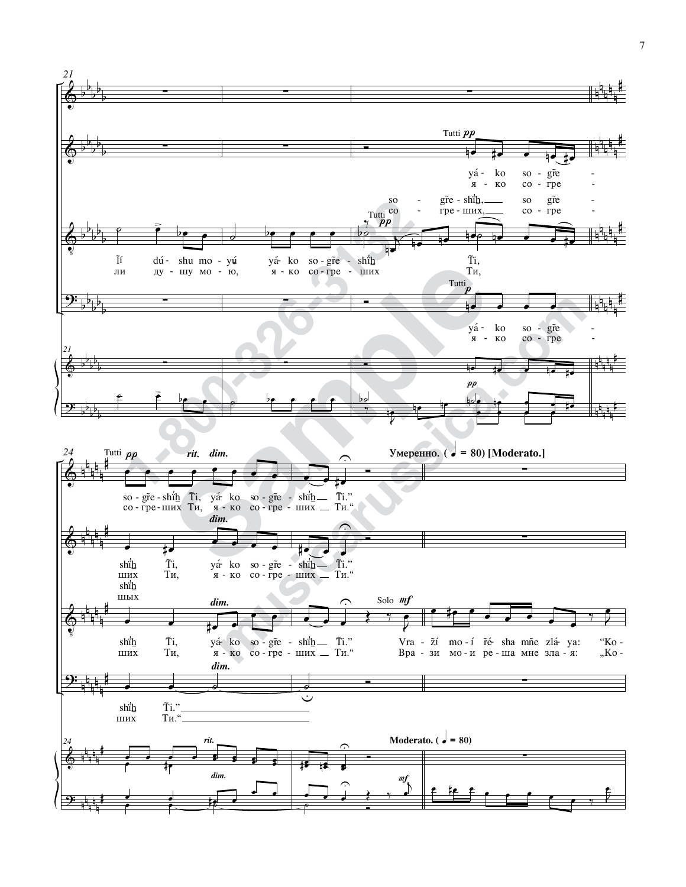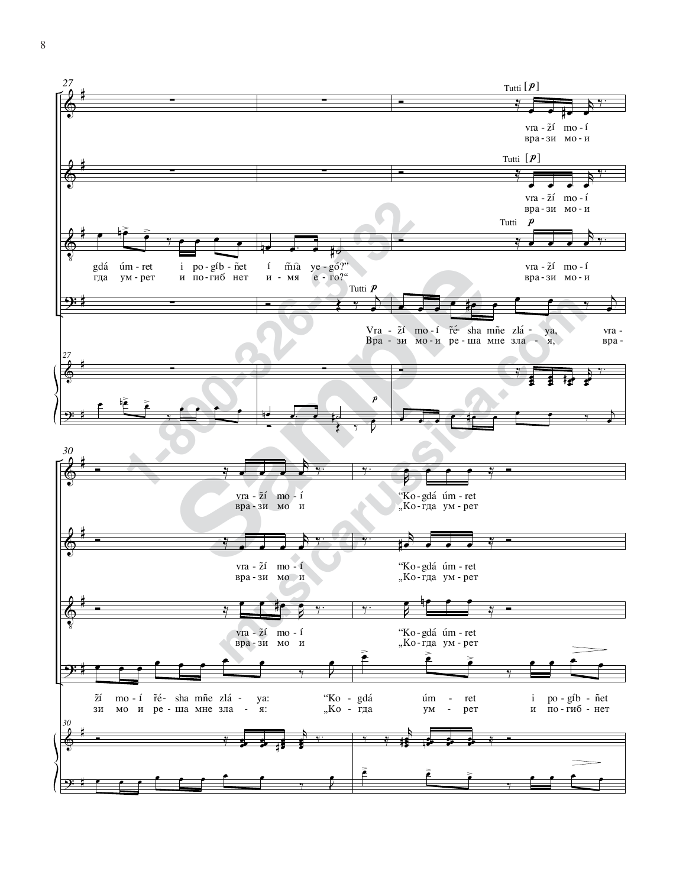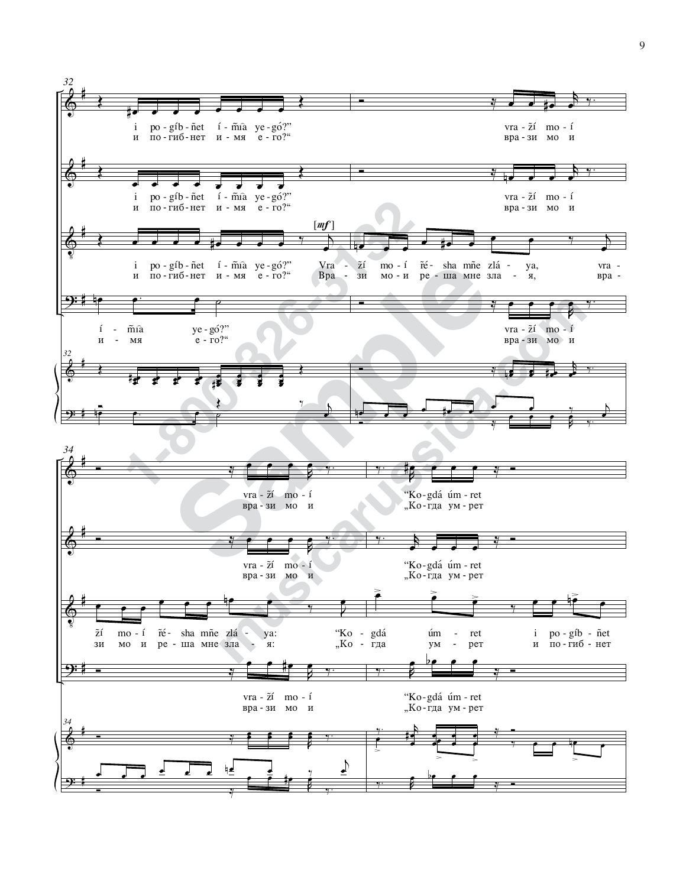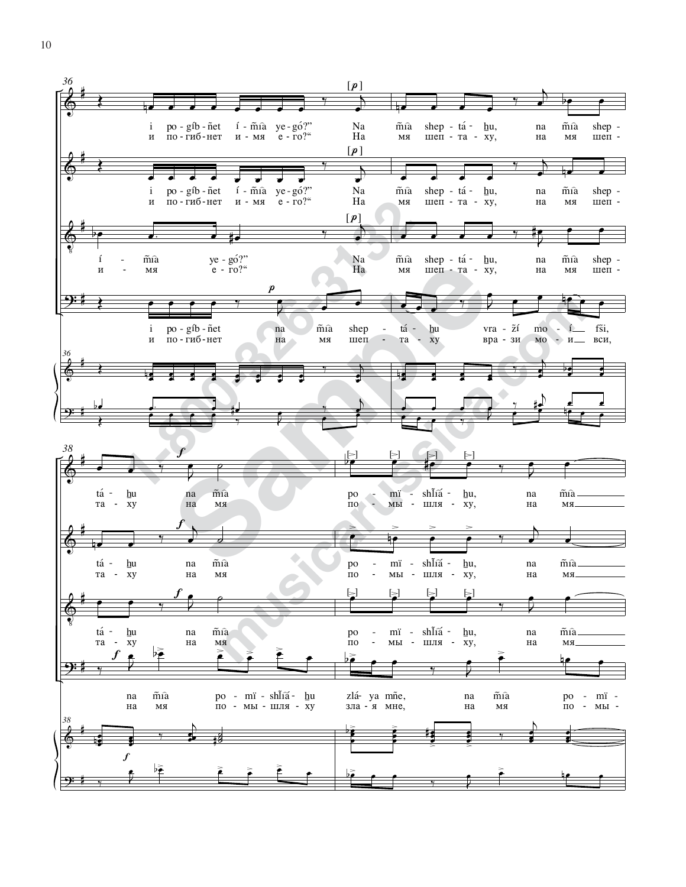

10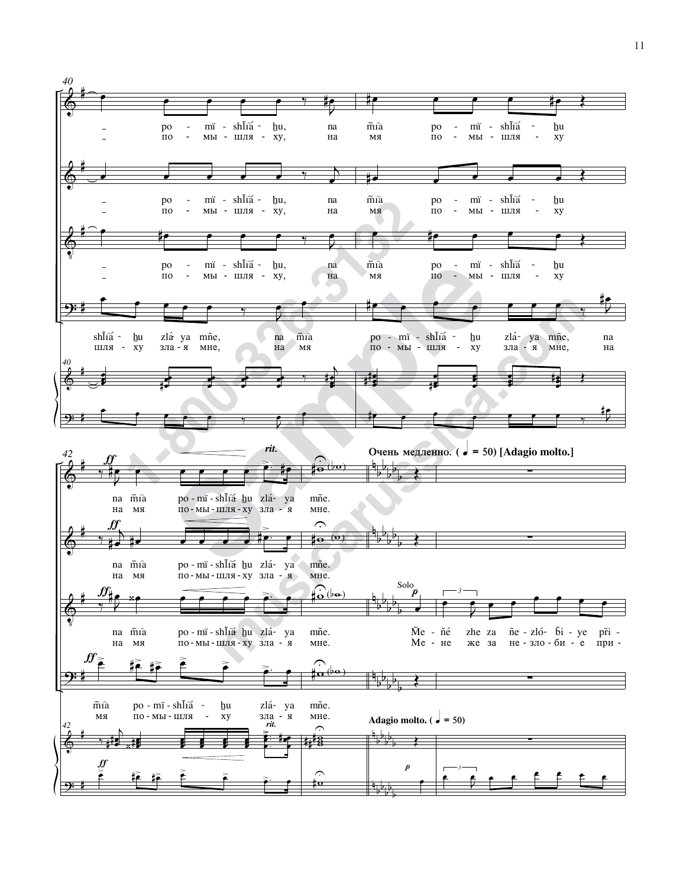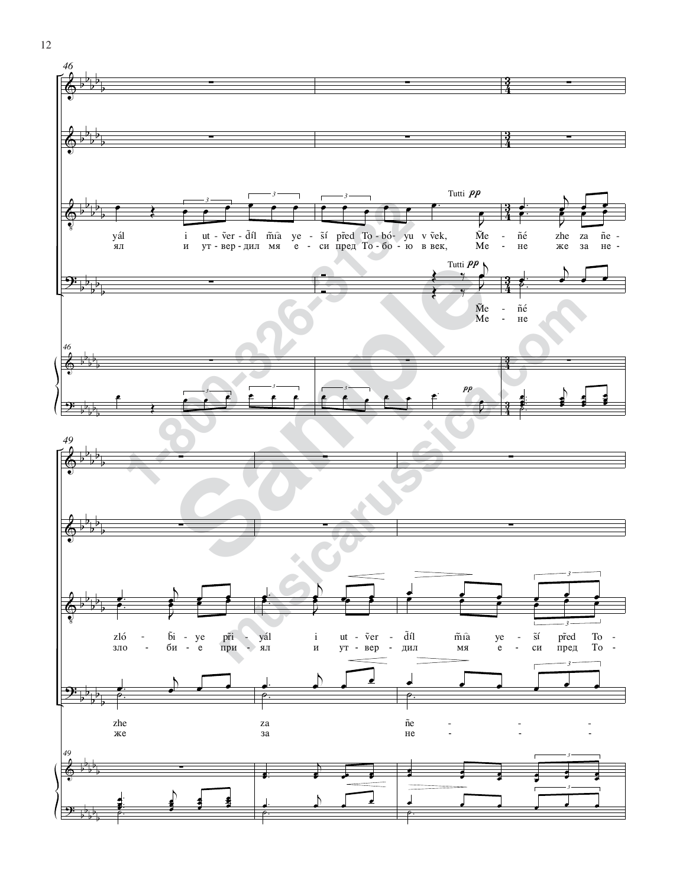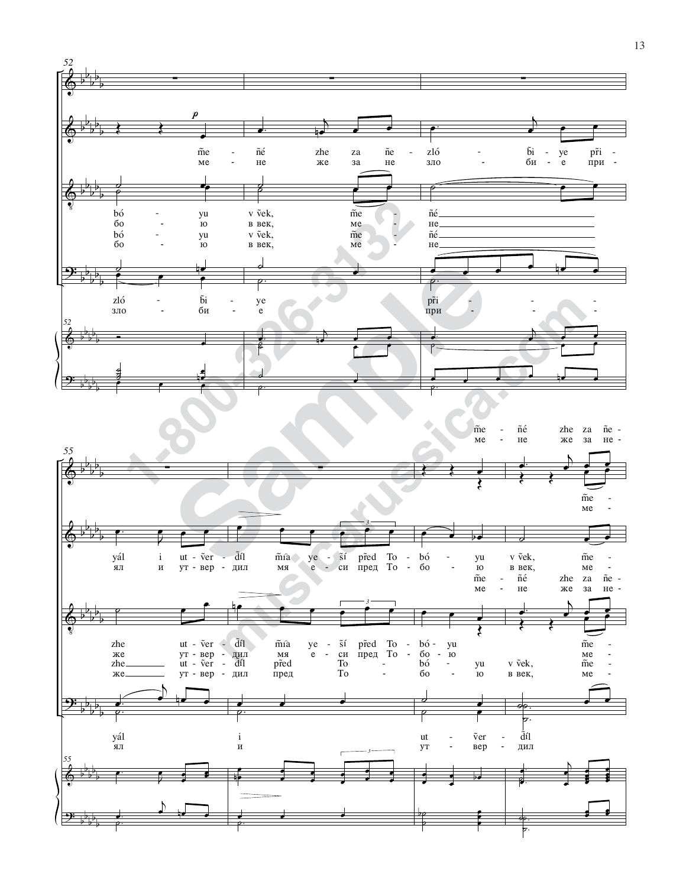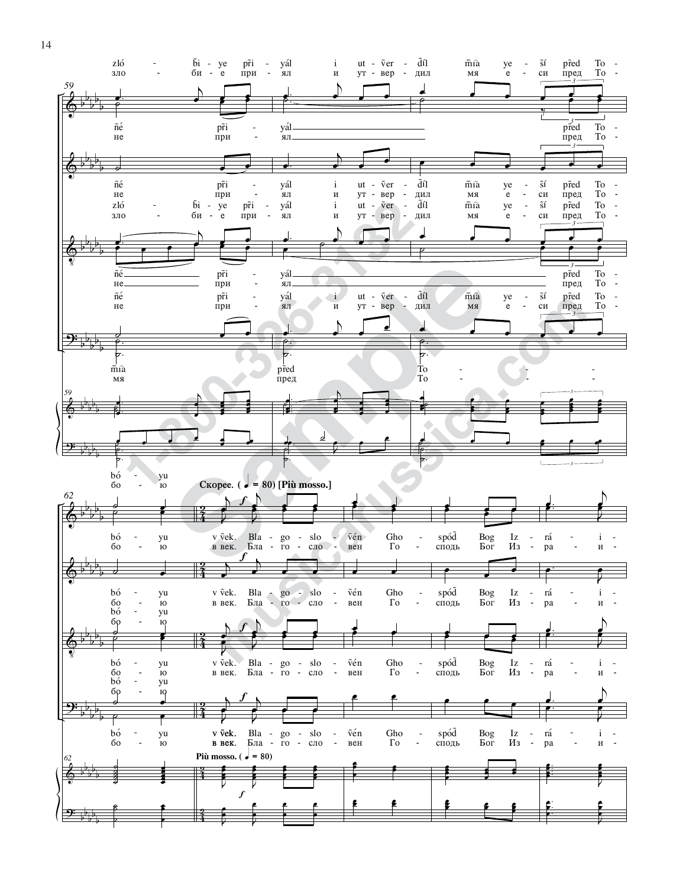